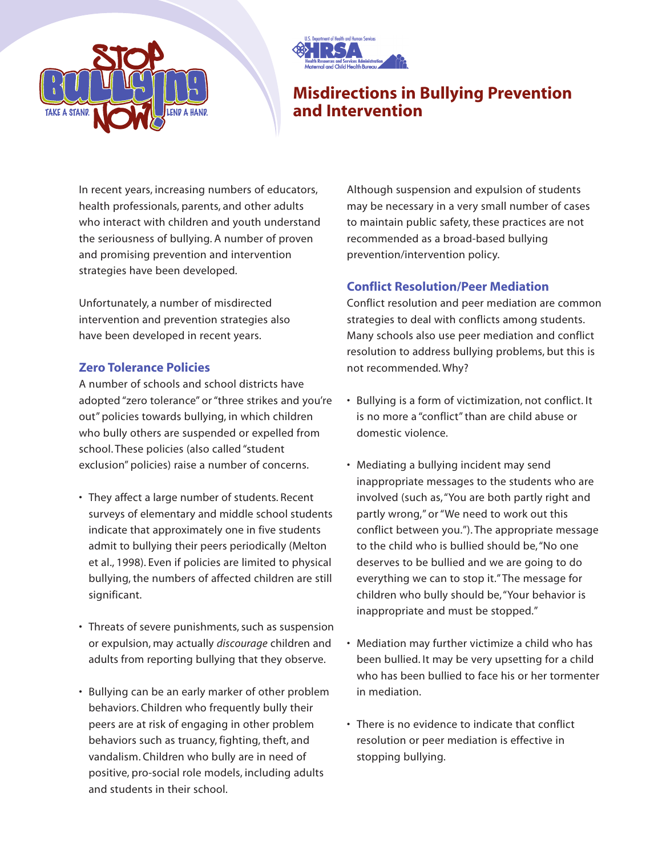



# **Misdirections in Bullying Prevention and Intervention**

In recent years, increasing numbers of educators, health professionals, parents, and other adults who interact with children and youth understand the seriousness of bullying. A number of proven and promising prevention and intervention strategies have been developed.

Unfortunately, a number of misdirected intervention and prevention strategies also have been developed in recent years.

## **Zero Tolerance Policies**

A number of schools and school districts have adopted "zero tolerance" or "three strikes and you're out" policies towards bullying, in which children who bully others are suspended or expelled from school. These policies (also called "student exclusion" policies) raise a number of concerns.

- They affect a large number of students. Recent surveys of elementary and middle school students indicate that approximately one in five students admit to bullying their peers periodically (Melton et al., 1998). Even if policies are limited to physical bullying, the numbers of affected children are still significant.
- Threats of severe punishments, such as suspension or expulsion, may actually *discourage* children and adults from reporting bullying that they observe.
- Bullying can be an early marker of other problem behaviors. Children who frequently bully their peers are at risk of engaging in other problem behaviors such as truancy, fighting, theft, and vandalism. Children who bully are in need of positive, pro-social role models, including adults and students in their school.

Although suspension and expulsion of students may be necessary in a very small number of cases to maintain public safety, these practices are not recommended as a broad-based bullying prevention/intervention policy.

### **Conflict Resolution/Peer Mediation**

Conflict resolution and peer mediation are common strategies to deal with conflicts among students. Many schools also use peer mediation and conflict resolution to address bullying problems, but this is not recommended. Why?

- Bullying is a form of victimization, not conflict. It is no more a "conflict" than are child abuse or domestic violence.
- Mediating a bullying incident may send inappropriate messages to the students who are involved (such as,"You are both partly right and partly wrong," or "We need to work out this conflict between you."). The appropriate message to the child who is bullied should be,"No one deserves to be bullied and we are going to do everything we can to stop it."The message for children who bully should be,"Your behavior is inappropriate and must be stopped."
- Mediation may further victimize a child who has been bullied. It may be very upsetting for a child who has been bullied to face his or her tormenter in mediation.
- There is no evidence to indicate that conflict resolution or peer mediation is effective in stopping bullying.